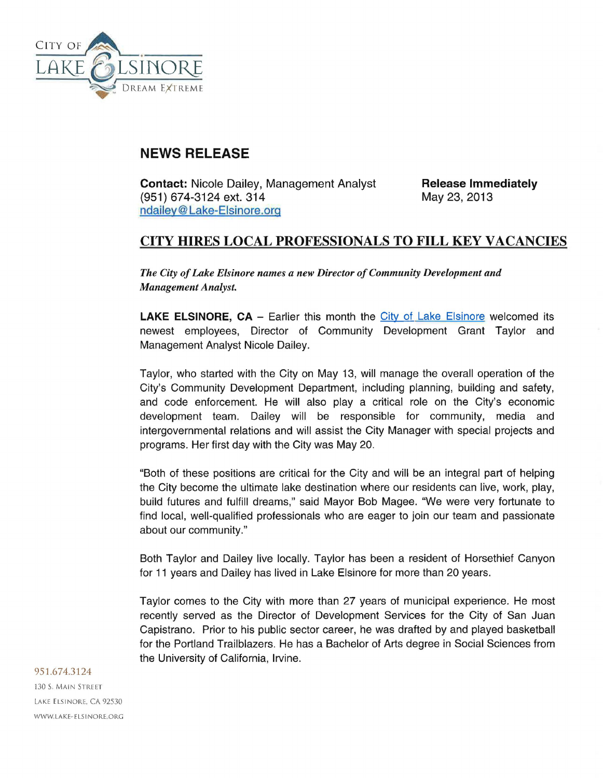

## **NEWS RELEASE**

Contact: Nicole Dailey, Management Analyst (951) 674-3124 ext. 314 [ndailey@ Lake-Eisinore.org](mailto:ndailey@lake-elsinore.org) 

Release Immediately May 23, 2013

## CITY HIRES LOCAL PROFESSIONALS TO FILL KEY VACANCIES

*The City of Lake Elsinore names a new Director of Community Development and Management Analyst.* 

**LAKE ELSINORE, CA** – Earlier this month the [City of Lake Elsinore](http://www.Lake-Elsinore.org) welcomed its newest employees, Director of Community Development Grant Taylor and Management Analyst Nicole Dailey.

Taylor, who started with the City on May 13, will manage the overall operation of the City's Community Development Department, including planning, building and safety, and code enforcement. He will also play a critical role on the City's economic development team. Dailey will be responsible for community, media and intergovernmental relations and will assist the City Manager with special projects and programs. Her first day with the City was May 20.

"Both of these positions are critical for the City and will be an integral part of helping the City become the ultimate lake destination where our residents can live, work, play, build futures and fulfill dreams," said Mayor Bob Magee. "We were very fortunate to find local, well-qualified professionals who are eager to join our team and passionate about our community."

Both Taylor and Dailey live locally. Taylor has been a resident of Horsethief Canyon for 11 years and Dailey has lived in Lake Elsinore for more than 20 years.

Taylor comes to the City with more than 27 years of municipal experience. He most recently served as the Director of Development Services for the City of San Juan Capistrano. Prior to his public sector career, he was drafted by and played basketball for the Portland Trailblazers. He has a Bachelor of Arts degree in Social Sciences from the University of California, Irvine.

## 951.674.3124

130 S. MAIN STREET LAKE ELSINORE, CA 92530 WWW.LAKE-ELSINORE.ORG